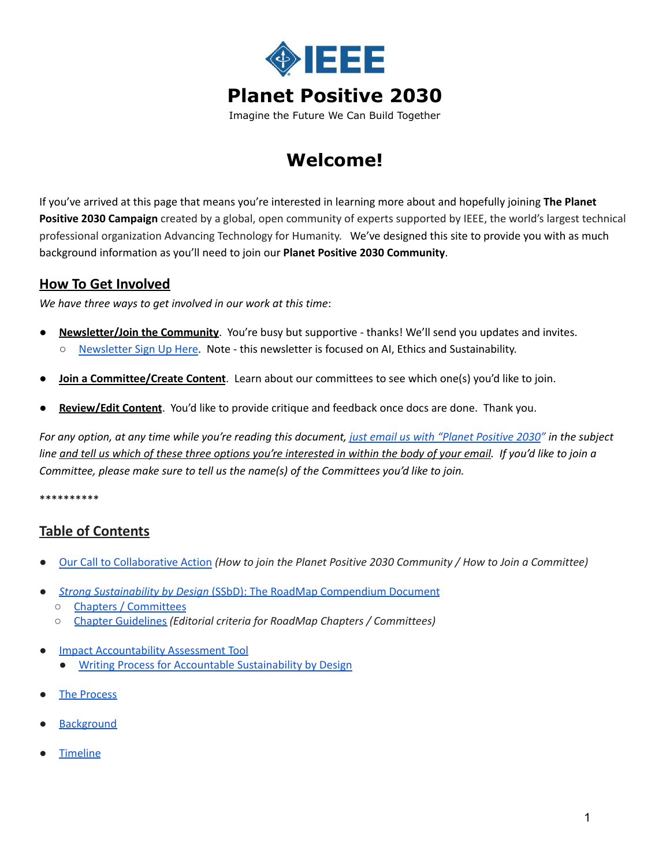

Imagine the Future We Can Build Together

# **Welcome!**

If you've arrived at this page that means you're interested in learning more about and hopefully joining **The Planet Positive 2030 Campaign** created by a global, open community of experts supported by IEEE, the world's largest technical professional organization Advancing Technology for Humanity. We've designed this site to provide you with as much background information as you'll need to join our **Planet Positive 2030 Community**.

### **How To Get Involved**

*We have three ways to get involved in our work at this time*:

- **Newsletter/Join the Community**. You're busy but supportive thanks! We'll send you updates and invites.
	- [Newsletter](https://ethicsinaction.ieee.org/#getinvolved) Sign Up Here. Note this newsletter is focused on AI, Ethics and Sustainability.
- **Join a Committee/Create Content**. Learn about our committees to see which one(s) you'd like to join.
- Review/Edit Content. You'd like to provide critique and feedback once docs are done. Thank you.

For any option, at any time while you're reading this document, just email us with "Planet [Positive](mailto:j.c.havens@ieee.org) 2030" in the subject line and tell us which of these three options you're interested in within the body of your email. If you'd like to join a *Committee, please make sure to tell us the name(s) of the Committees you'd like to join.*

\*\*\*\*\*\*\*\*\*\*

### **Table of Contents**

- Our Call to [Collaborative](#page-2-0) Action *(How to join the Planet Positive 2030 Community / How to Join a Committee)*
- *Strong Sustainability by Design* (SSbD): The RoadMap [Compendium](#page-3-0) Document
	- Chapters / [Committees](#page-4-0)
	- Chapter [Guidelines](#page-6-0) *(Editorial criteria for RoadMap Chapters / Committees)*
- Impact [Accountability](#page-10-0) Assessment Tool
	- *●* Writing Process for Accountable [Sustainability](#page-11-0) by Design
- **The [Process](#page-12-0)**
- **[Background](#page-13-0)**
- **[Timeline](#page-15-0)**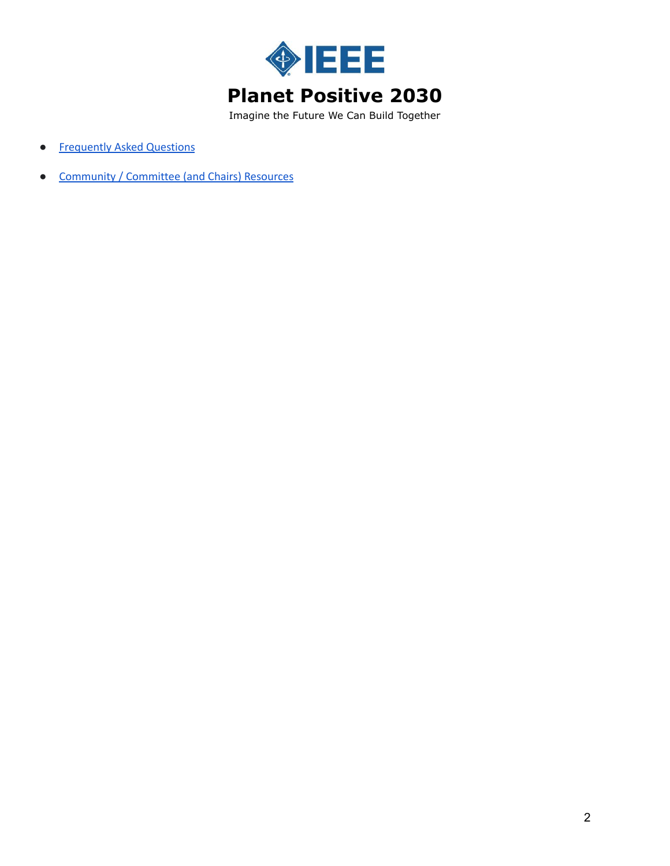

Imagine the Future We Can Build Together

- [Frequently](#page-16-0) Asked Questions
- [Community](https://docs.google.com/document/d/1UiFXlL8n7tazGwp8PSxpgVp6UbxsTbZgbw6hn8imsNY/edit?usp=sharing) / Committee (and Chairs) Resources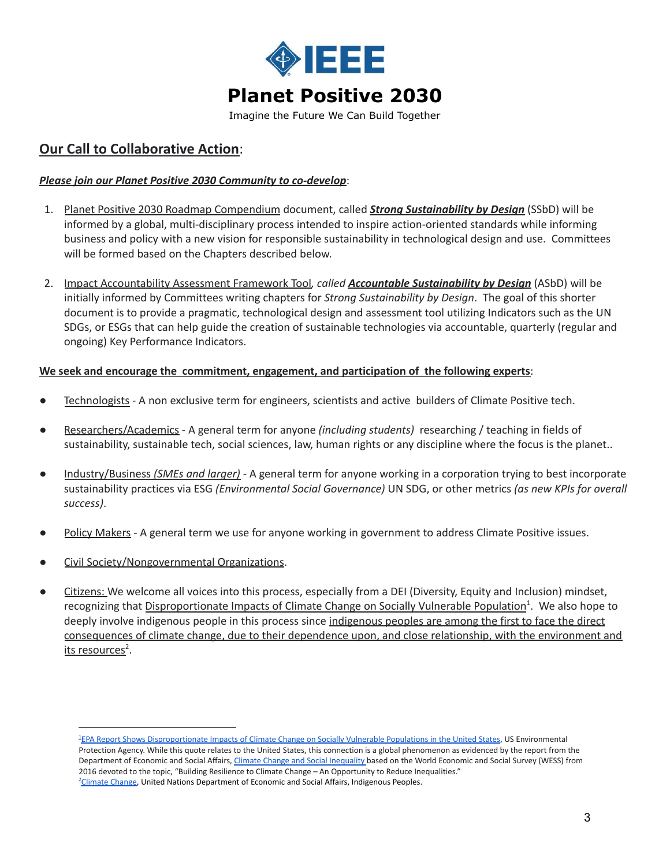

Imagine the Future We Can Build Together

### <span id="page-2-0"></span>**Our Call to Collaborative Action**:

#### *Please join our Planet Positive 2030 Community to co-develop*:

- 1. Planet Positive 2030 Roadmap Compendium document, called *Strong Sustainability by Design* (SSbD) will be informed by a global, multi-disciplinary process intended to inspire action-oriented standards while informing business and policy with a new vision for responsible sustainability in technological design and use. Committees will be formed based on the Chapters described below.
- 2. Impact Accountability Assessment Framework Tool*, called Accountable Sustainability by Design* (ASbD) will be initially informed by Committees writing chapters for *Strong Sustainability by Design*. The goal of this shorter document is to provide a pragmatic, technological design and assessment tool utilizing Indicators such as the UN SDGs, or ESGs that can help guide the creation of sustainable technologies via accountable, quarterly (regular and ongoing) Key Performance Indicators.

#### **We seek and encourage the commitment, engagement, and participation of the following experts**:

- Technologists A non exclusive term for engineers, scientists and active builders of Climate Positive tech.
- Researchers/Academics A general term for anyone *(including students)* researching / teaching in fields of sustainability, sustainable tech, social sciences, law, human rights or any discipline where the focus is the planet..
- Industry/Business *(SMEs and larger)* A general term for anyone working in a corporation trying to best incorporate sustainability practices via ESG *(Environmental Social Governance)* UN SDG, or other metrics *(as new KPIs for overall success)*.
- Policy Makers A general term we use for anyone working in government to address Climate Positive issues.
- Civil Society/Nongovernmental Organizations.
- Citizens: We welcome all voices into this process, especially from a DEI (Diversity, Equity and Inclusion) mindset, recognizing that [Disproportionate](https://www.epa.gov/newsreleases/epa-report-shows-disproportionate-impacts-climate-change-socially-vulnerable) Impacts of Climate Change on Socially Vulnerable Population<sup>1</sup>. We also hope to deeply involve indigenous people in this process since [indigenous](https://www.un.org/development/desa/indigenouspeoples/climate-change.html#:~:text=The%20effects%20of%20climate%20change%20on%20indigenous%20peoples&text=Climate%20change%20exacerbates%20the%20difficulties,rights%20violations%2C%20discrimination%20and%20unemployment.) peoples are among the first to face the direct [consequences](https://www.un.org/development/desa/indigenouspeoples/climate-change.html#:~:text=The%20effects%20of%20climate%20change%20on%20indigenous%20peoples&text=Climate%20change%20exacerbates%20the%20difficulties,rights%20violations%2C%20discrimination%20and%20unemployment.) of climate change, due to their dependence upon, and close relationship, with the environment and i<u>ts [resources](https://www.un.org/development/desa/indigenouspeoples/climate-change.html#:~:text=The%20effects%20of%20climate%20change%20on%20indigenous%20peoples&text=Climate%20change%20exacerbates%20the%20difficulties,rights%20violations%2C%20discrimination%20and%20unemployment.)</u><sup>2</sup>.

<sup>&</sup>lt;sup>2</sup>[Climate](https://www.un.org/development/desa/indigenouspeoples/climate-change.html#:~:text=The%20effects%20of%20climate%20change%20on%20indigenous%20peoples&text=Climate%20change%20exacerbates%20the%20difficulties,rights%20violations%2C%20discrimination%20and%20unemployment.) Change, United Nations Department of Economic and Social Affairs, Indigenous Peoples. <sup>1</sup>EPA Report Shows [Disproportionate](https://www.epa.gov/newsreleases/epa-report-shows-disproportionate-impacts-climate-change-socially-vulnerable) Impacts of Climate Change on Socially Vulnerable Populations in the United States, US Environmental Protection Agency. While this quote relates to the United States, this connection is a global phenomenon as evidenced by the report from the Department of Economic and Social Affairs, Climate Change and Social [Inequality](https://www.un.org/esa/desa/papers/2017/wp152_2017.pdf) based on the World Economic and Social Survey (WESS) from 2016 devoted to the topic, "Building Resilience to Climate Change – An Opportunity to Reduce Inequalities."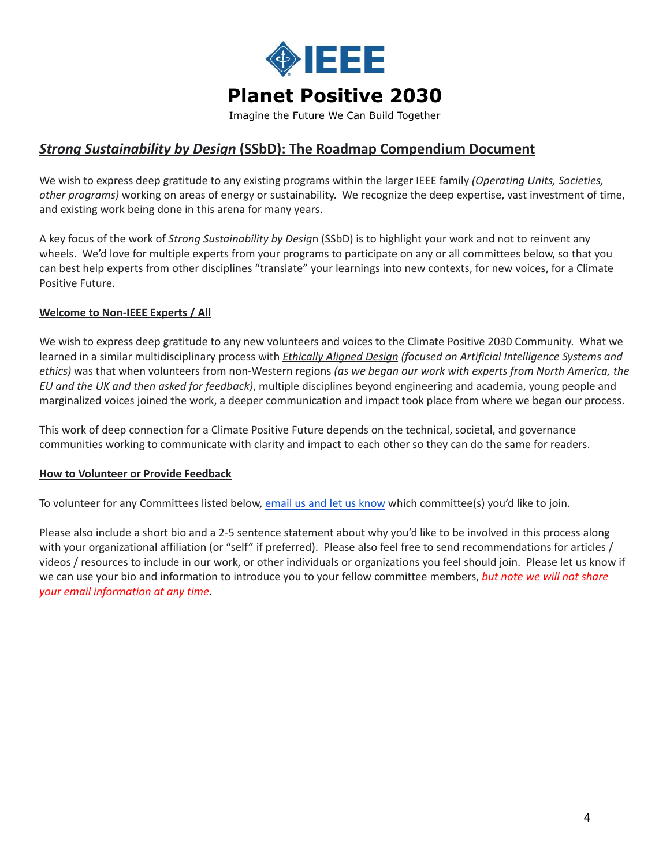

Imagine the Future We Can Build Together

### <span id="page-3-0"></span>*Strong Sustainability by Design* **(SSbD): The Roadmap Compendium Document**

We wish to express deep gratitude to any existing programs within the larger IEEE family *(Operating Units, Societies, other programs)* working on areas of energy or sustainability. We recognize the deep expertise, vast investment of time, and existing work being done in this arena for many years.

A key focus of the work of *Strong Sustainability by Desig*n (SSbD) is to highlight your work and not to reinvent any wheels. We'd love for multiple experts from your programs to participate on any or all committees below, so that you can best help experts from other disciplines "translate" your learnings into new contexts, for new voices, for a Climate Positive Future.

#### **Welcome to Non-IEEE Experts / All**

We wish to express deep gratitude to any new volunteers and voices to the Climate Positive 2030 Community. What we learned in a similar multidisciplinary process with *[Ethically](https://standards.ieee.org/wp-content/uploads/import/documents/other/ead1e.pdf?utm_medium=undefined&utm_source=undefined&utm_campaign=undefined&utm_content=undefined&utm_term=undefined) Aligned Design (focused on Artificial Intelligence Systems and ethics)* was that when volunteers from non-Western regions *(as we began our work with experts from North America, the EU and the UK and then asked for feedback)*, multiple disciplines beyond engineering and academia, young people and marginalized voices joined the work, a deeper communication and impact took place from where we began our process.

This work of deep connection for a Climate Positive Future depends on the technical, societal, and governance communities working to communicate with clarity and impact to each other so they can do the same for readers.

#### **How to Volunteer or Provide Feedback**

To volunteer for any Committees listed below, [email](mailto:j.c.havens@ieee.org) us and let us know which committee(s) you'd like to join.

Please also include a short bio and a 2-5 sentence statement about why you'd like to be involved in this process along with your organizational affiliation (or "self" if preferred). Please also feel free to send recommendations for articles / videos / resources to include in our work, or other individuals or organizations you feel should join. Please let us know if we can use your bio and information to introduce you to your fellow committee members, *but note we will not share your email information at any time.*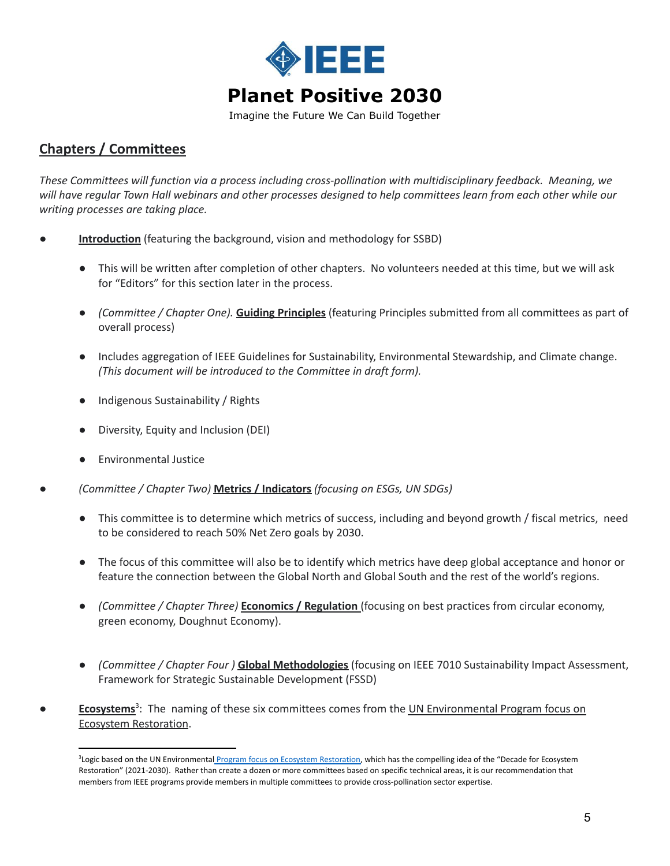

Imagine the Future We Can Build Together

## <span id="page-4-0"></span>**Chapters / Committees**

*These Committees will function via a process including cross-pollination with multidisciplinary feedback. Meaning, we* will have regular Town Hall webinars and other processes designed to help committees learn from each other while our *writing processes are taking place.*

- **Introduction** (featuring the background, vision and methodology for SSBD)
	- **●** This will be written after completion of other chapters. No volunteers needed at this time, but we will ask for "Editors" for this section later in the process.
	- **●** *(Committee / Chapter One).* **Guiding Principles** (featuring Principles submitted from all committees as part of overall process)
	- **●** Includes aggregation of IEEE Guidelines for Sustainability, Environmental Stewardship, and Climate change. *(This document will be introduced to the Committee in draft form).*
	- **●** Indigenous Sustainability / Rights
	- **●** Diversity, Equity and Inclusion (DEI)
	- **●** Environmental Justice
- *(Committee / Chapter Two)* **Metrics / Indicators** *(focusing on ESGs, UN SDGs)*
	- This committee is to determine which metrics of success, including and beyond growth / fiscal metrics, need to be considered to reach 50% Net Zero goals by 2030.
	- The focus of this committee will also be to identify which metrics have deep global acceptance and honor or feature the connection between the Global North and Global South and the rest of the world's regions.
	- *(Committee / Chapter Three)* **Economics / Regulation** (focusing on best practices from circular economy, green economy, Doughnut Economy).
	- *(Committee / Chapter Four )* **Global Methodologies** (focusing on IEEE 7010 Sustainability Impact Assessment, Framework for Strategic Sustainable Development (FSSD)
- **Ecosystems**<sup>3</sup>: The naming of these six committees comes from the UN [Environmental](https://unenvironment.widen.net/s/ffjvzcfldw/ecosystem-restoration-playbook) Program focus on Ecosystem [Restoration](https://unenvironment.widen.net/s/ffjvzcfldw/ecosystem-restoration-playbook).

<sup>&</sup>lt;sup>3</sup>Logic based on the UN Environmental Program focus on Ecosystem [Restoration,](https://unenvironment.widen.net/s/ffjvzcfldw/ecosystem-restoration-playbook) which has the compelling idea of the "Decade for Ecosystem Restoration" (2021-2030). Rather than create a dozen or more committees based on specific technical areas, it is our recommendation that members from IEEE programs provide members in multiple committees to provide cross-pollination sector expertise.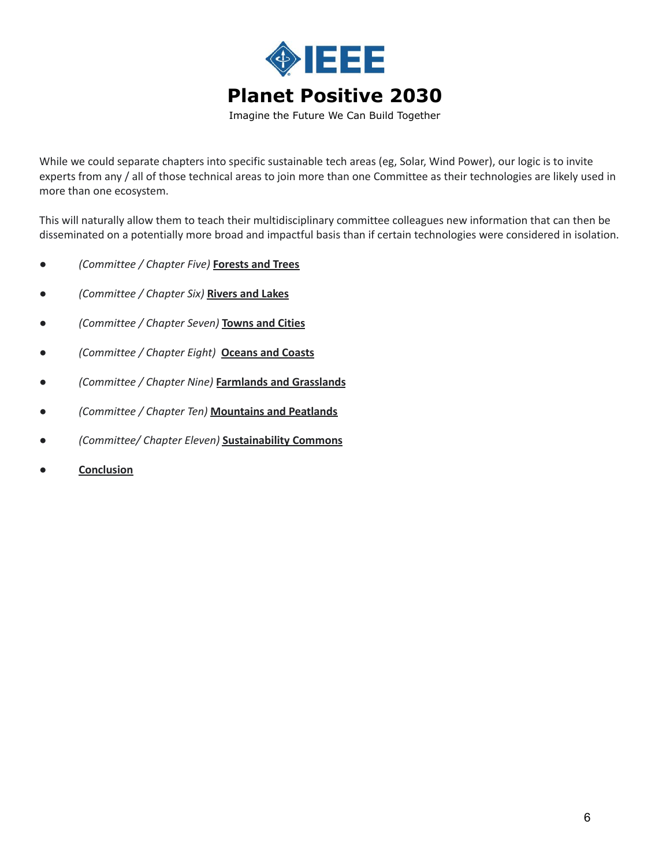

Imagine the Future We Can Build Together

While we could separate chapters into specific sustainable tech areas (eg, Solar, Wind Power), our logic is to invite experts from any / all of those technical areas to join more than one Committee as their technologies are likely used in more than one ecosystem.

This will naturally allow them to teach their multidisciplinary committee colleagues new information that can then be disseminated on a potentially more broad and impactful basis than if certain technologies were considered in isolation.

- **●** *(Committee / Chapter Five)* **Forests and Trees**
- **●** *(Committee / Chapter Six)* **Rivers and Lakes**
- **●** *(Committee / Chapter Seven)* **Towns and Cities**
- **●** *(Committee / Chapter Eight)* **Oceans and Coasts**
- **●** *(Committee / Chapter Nine)* **Farmlands and Grasslands**
- **●** *(Committee / Chapter Ten)* **Mountains and Peatlands**
- *● (Committee/ Chapter Eleven)* **Sustainability Commons**
- **Conclusion**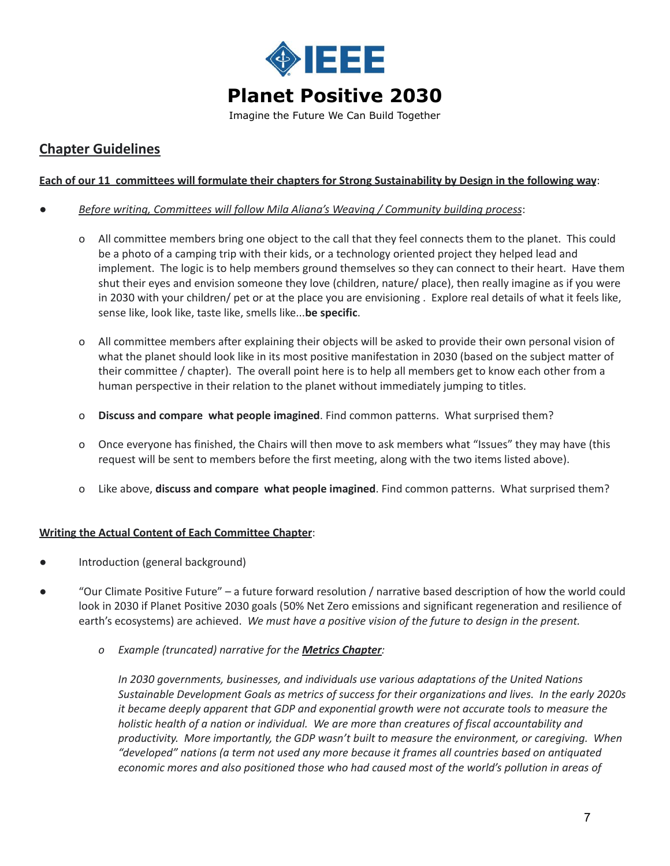

Imagine the Future We Can Build Together

### <span id="page-6-0"></span>**Chapter Guidelines**

#### Each of our 11 committees will formulate their chapters for Strong Sustainability by Design in the following way:

#### ● *Before writing, Committees will follow Mila Aliana's Weaving / Community building process*:

- o All committee members bring one object to the call that they feel connects them to the planet. This could be a photo of a camping trip with their kids, or a technology oriented project they helped lead and implement. The logic is to help members ground themselves so they can connect to their heart. Have them shut their eyes and envision someone they love (children, nature/ place), then really imagine as if you were in 2030 with your children/ pet or at the place you are envisioning . Explore real details of what it feels like, sense like, look like, taste like, smells like...**be specific**.
- o All committee members after explaining their objects will be asked to provide their own personal vision of what the planet should look like in its most positive manifestation in 2030 (based on the subject matter of their committee / chapter). The overall point here is to help all members get to know each other from a human perspective in their relation to the planet without immediately jumping to titles.
- o **Discuss and compare what people imagined**. Find common patterns. What surprised them?
- o Once everyone has finished, the Chairs will then move to ask members what "Issues" they may have (this request will be sent to members before the first meeting, along with the two items listed above).
- o Like above, **discuss and compare what people imagined**. Find common patterns. What surprised them?

#### **Writing the Actual Content of Each Committee Chapter**:

- Introduction (general background)
- "Our Climate Positive Future" a future forward resolution / narrative based description of how the world could look in 2030 if Planet Positive 2030 goals (50% Net Zero emissions and significant regeneration and resilience of earth's ecosystems) are achieved. *We must have a positive vision of the future to design in the present.*
	- *o Example (truncated) narrative for the Metrics Chapter:*

*In 2030 governments, businesses, and individuals use various adaptations of the United Nations Sustainable Development Goals as metrics of success for their organizations and lives. In the early 2020s it became deeply apparent that GDP and exponential growth were not accurate tools to measure the holistic health of a nation or individual. We are more than creatures of fiscal accountability and productivity. More importantly, the GDP wasn't built to measure the environment, or caregiving. When "developed" nations (a term not used any more because it frames all countries based on antiquated economic mores and also positioned those who had caused most of the world's pollution in areas of*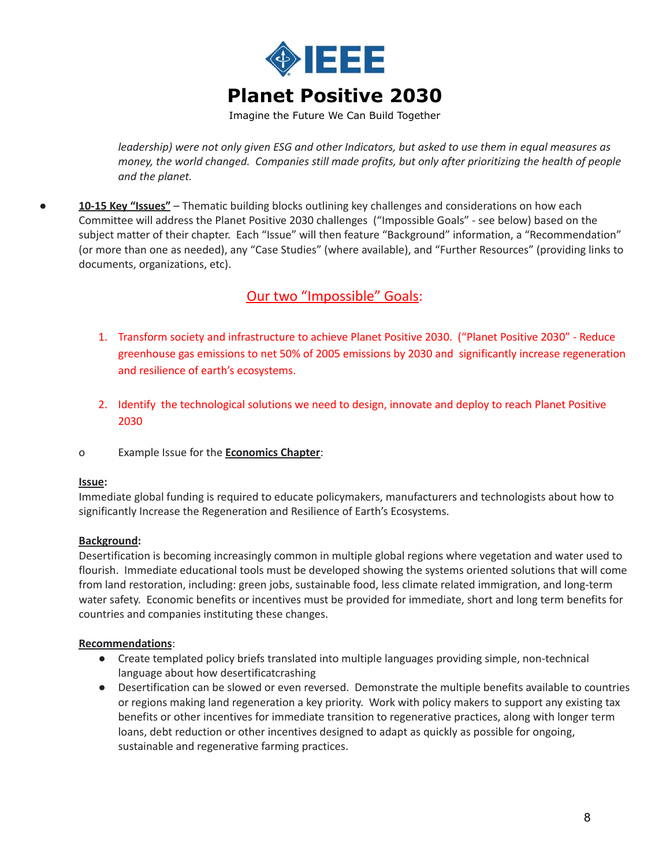

Imagine the Future We Can Build Together

leadership) were not only given ESG and other Indicators, but asked to use them in equal measures as *money, the world changed. Companies still made profits, but only after prioritizing the health of people and the planet.*

● **10-15 Key "Issues"** – Thematic building blocks outlining key challenges and considerations on how each Committee will address the Planet Positive 2030 challenges ("Impossible Goals" - see below) based on the subject matter of their chapter. Each "Issue" will then feature "Background" information, a "Recommendation" (or more than one as needed), any "Case Studies" (where available), and "Further Resources" (providing links to documents, organizations, etc).

### Our two "Impossible" Goals:

- 1. Transform society and infrastructure to achieve Planet Positive 2030. ("Planet Positive 2030" Reduce greenhouse gas emissions to net 50% of 2005 emissions by 2030 and significantly increase regeneration and resilience of earth's ecosystems.
- 2. Identify the technological solutions we need to design, innovate and deploy to reach Planet Positive 2030
- o Example Issue for the **Economics Chapter**:

#### **Issue:**

Immediate global funding is required to educate policymakers, manufacturers and technologists about how to significantly Increase the Regeneration and Resilience of Earth's Ecosystems.

#### **Background:**

Desertification is becoming increasingly common in multiple global regions where vegetation and water used to flourish. Immediate educational tools must be developed showing the systems oriented solutions that will come from land restoration, including: green jobs, sustainable food, less climate related immigration, and long-term water safety. Economic benefits or incentives must be provided for immediate, short and long term benefits for countries and companies instituting these changes.

#### **Recommendations**:

- Create templated policy briefs translated into multiple languages providing simple, non-technical language about how desertificatcrashing
- Desertification can be slowed or even reversed. Demonstrate the multiple benefits available to countries or regions making land regeneration a key priority. Work with policy makers to support any existing tax benefits or other incentives for immediate transition to regenerative practices, along with longer term loans, debt reduction or other incentives designed to adapt as quickly as possible for ongoing, sustainable and regenerative farming practices.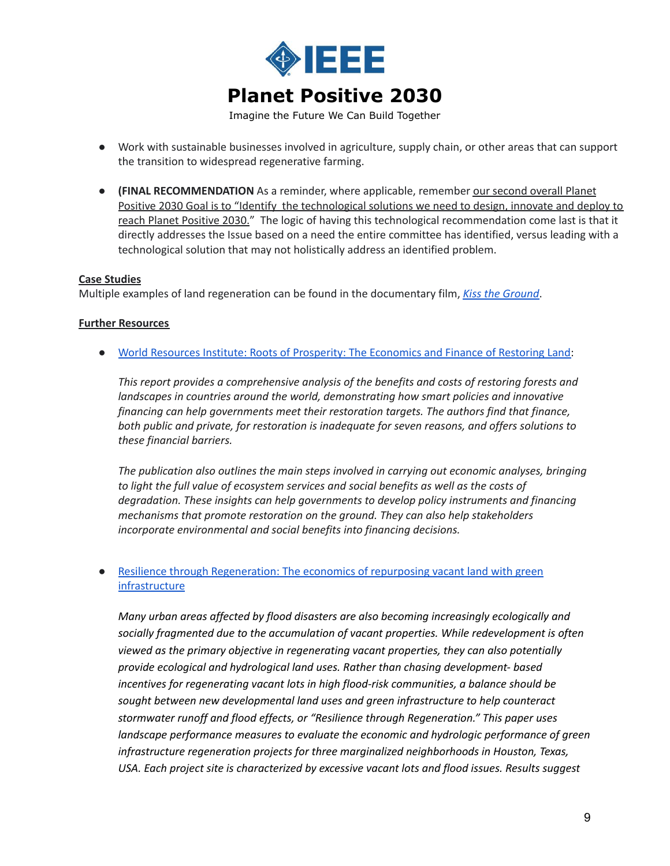

Imagine the Future We Can Build Together

- Work with sustainable businesses involved in agriculture, supply chain, or other areas that can support the transition to widespread regenerative farming.
- **(FINAL RECOMMENDATION** As a reminder, where applicable, remember our second overall Planet Positive 2030 Goal is to "Identify the technological solutions we need to design, innovate and deploy to reach Planet Positive 2030." The logic of having this technological recommendation come last is that it directly addresses the Issue based on a need the entire committee has identified, versus leading with a technological solution that may not holistically address an identified problem.

#### **Case Studies**

Multiple examples of land regeneration can be found in the documentary film, *Kiss the [Ground](https://kissthegroundmovie.com/)*.

#### **Further Resources**

World Resources Institute: Roots of [Prosperity:](https://www.wri.org/research/roots-prosperity-economics-and-finance-restoring-land) The Economics and Finance of Restoring Land:

*This report provides a comprehensive analysis of the benefits and costs of restoring forests and landscapes in countries around the world, demonstrating how smart policies and innovative financing can help governments meet their restoration targets. The authors find that finance, both public and private, for restoration is inadequate for seven reasons, and offers solutions to these financial barriers.*

*The publication also outlines the main steps involved in carrying out economic analyses, bringing to light the full value of ecosystem services and social benefits as well as the costs of degradation. These insights can help governments to develop policy instruments and financing mechanisms that promote restoration on the ground. They can also help stakeholders incorporate environmental and social benefits into financing decisions.*

#### Resilience through [Regeneration:](https://www.ncbi.nlm.nih.gov/pmc/articles/PMC6370328/) The economics of repurposing vacant land with green [infrastructure](https://www.ncbi.nlm.nih.gov/pmc/articles/PMC6370328/)

*Many urban areas affected by flood disasters are also becoming increasingly ecologically and socially fragmented due to the accumulation of vacant properties. While redevelopment is often viewed as the primary objective in regenerating vacant properties, they can also potentially provide ecological and hydrological land uses. Rather than chasing development- based incentives for regenerating vacant lots in high flood-risk communities, a balance should be sought between new developmental land uses and green infrastructure to help counteract stormwater runoff and flood effects, or "Resilience through Regeneration." This paper uses landscape performance measures to evaluate the economic and hydrologic performance of green infrastructure regeneration projects for three marginalized neighborhoods in Houston, Texas, USA. Each project site is characterized by excessive vacant lots and flood issues. Results suggest*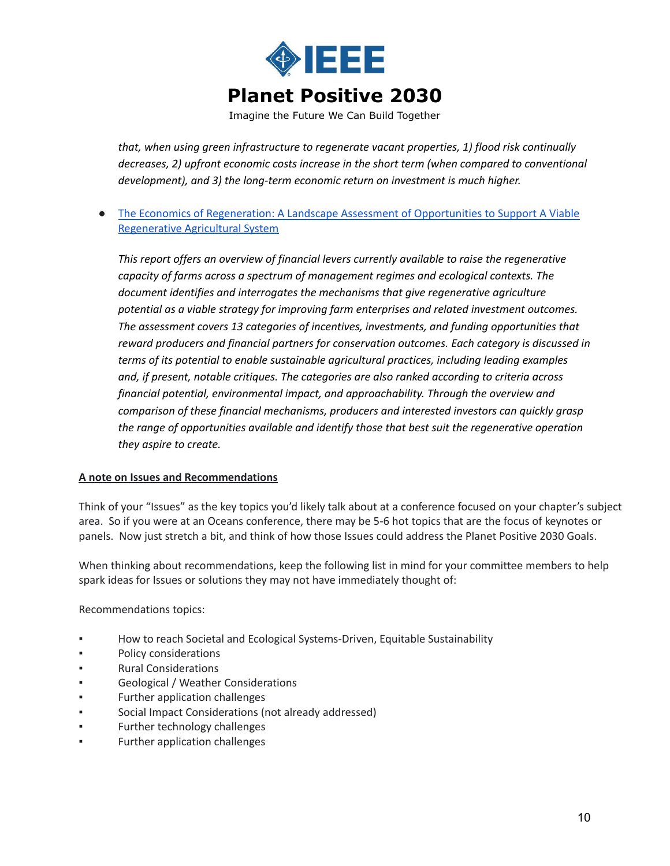

Imagine the Future We Can Build Together

*that, when using green infrastructure to regenerate vacant properties, 1) flood risk continually decreases, 2) upfront economic costs increase in the short term (when compared to conventional development), and 3) the long-term economic return on investment is much higher.*

The Economics of [Regeneration:](https://static1.squarespace.com/static/5e39ee64bb24a74bf6bccfa8/t/5ecd721c29359c000461d86a/1590522408765/EconomicsofRegeneration.pdf) A Landscape Assessment of Opportunities to Support A Viable [Regenerative](https://static1.squarespace.com/static/5e39ee64bb24a74bf6bccfa8/t/5ecd721c29359c000461d86a/1590522408765/EconomicsofRegeneration.pdf) Agricultural System

*This report offers an overview of financial levers currently available to raise the regenerative capacity of farms across a spectrum of management regimes and ecological contexts. The document identifies and interrogates the mechanisms that give regenerative agriculture potential as a viable strategy for improving farm enterprises and related investment outcomes. The assessment covers 13 categories of incentives, investments, and funding opportunities that reward producers and financial partners for conservation outcomes. Each category is discussed in terms of its potential to enable sustainable agricultural practices, including leading examples and, if present, notable critiques. The categories are also ranked according to criteria across financial potential, environmental impact, and approachability. Through the overview and comparison of these financial mechanisms, producers and interested investors can quickly grasp the range of opportunities available and identify those that best suit the regenerative operation they aspire to create.*

#### **A note on Issues and Recommendations**

Think of your "Issues" as the key topics you'd likely talk about at a conference focused on your chapter's subject area. So if you were at an Oceans conference, there may be 5-6 hot topics that are the focus of keynotes or panels. Now just stretch a bit, and think of how those Issues could address the Planet Positive 2030 Goals.

When thinking about recommendations, keep the following list in mind for your committee members to help spark ideas for Issues or solutions they may not have immediately thought of:

Recommendations topics:

- How to reach Societal and Ecological Systems-Driven, Equitable Sustainability
- Policy considerations
- Rural Considerations
- Geological / Weather Considerations
- Further application challenges
- Social Impact Considerations (not already addressed)
- Further technology challenges
- **Further application challenges**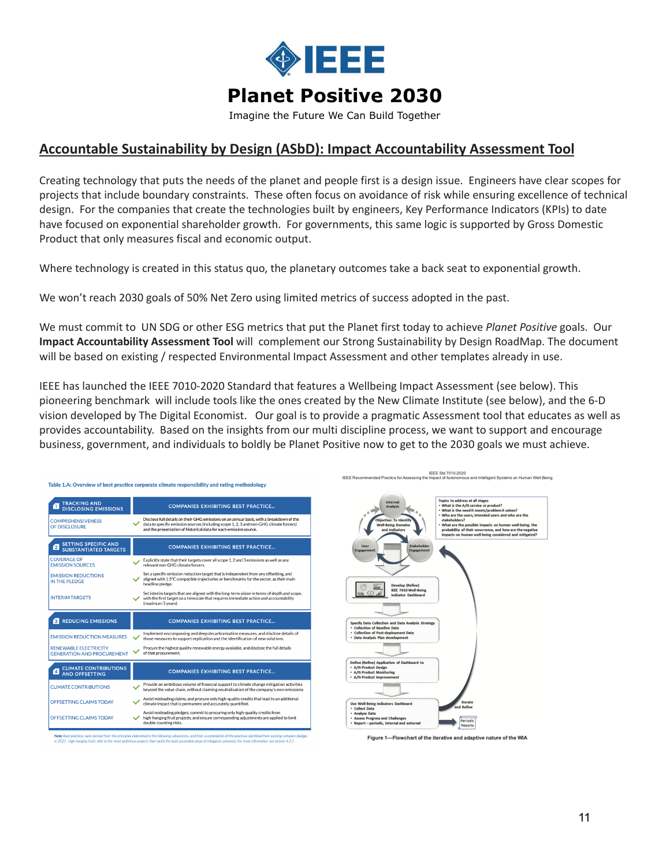

Imagine the Future We Can Build Together

### <span id="page-10-0"></span>**Accountable Sustainability by Design (ASbD): Impact Accountability Assessment Tool**

Creating technology that puts the needs of the planet and people first is a design issue. Engineers have clear scopes for projects that include boundary constraints. These often focus on avoidance of risk while ensuring excellence of technical design. For the companies that create the technologies built by engineers, Key Performance Indicators (KPIs) to date have focused on exponential shareholder growth. For governments, this same logic is supported by Gross Domestic Product that only measures fiscal and economic output.

Where technology is created in this status quo, the planetary outcomes take a back seat to exponential growth.

We won't reach 2030 goals of 50% Net Zero using limited metrics of success adopted in the past.

We must commit to UN SDG or other ESG metrics that put the Planet first today to achieve *Planet Positive* goals. Our **Impact Accountability Assessment Tool** will complement our Strong Sustainability by Design RoadMap. The document will be based on existing / respected Environmental Impact Assessment and other templates already in use.

IEEE has launched the IEEE 7010-2020 Standard that features a Wellbeing Impact Assessment (see below). This pioneering benchmark will include tools like the ones created by the New Climate Institute (see below), and the 6-D vision developed by The Digital Economist. Our goal is to provide a pragmatic Assessment tool that educates as well as provides accountability. Based on the insights from our multi discipline process, we want to support and encourage business, government, and individuals to boldly be Planet Positive now to get to the 2030 goals we must achieve.

| Table 1.A: Overview of best practice corporate climate responsibility and rating methodology |                                                                                                                                                                                                                                                          |  |
|----------------------------------------------------------------------------------------------|----------------------------------------------------------------------------------------------------------------------------------------------------------------------------------------------------------------------------------------------------------|--|
| <b>TRACKING AND</b><br>n<br><b>DISCLOSING EMISSIONS</b>                                      | <b>COMPANIES EXHIBITING BEST PRACTICE</b>                                                                                                                                                                                                                |  |
| <b>COMPREHENSIVENESS</b><br>OF DISCLOSURE                                                    | Disclose full details on their GHG emissions on an annual basis, with a breakdown of the<br>data to specific emission sources (including scope 1, 2, 3 and non-GHG climate forcers)<br>and the presentation of historical data for each emission source. |  |
| <b>SETTING SPECIFIC AND</b><br>$\overline{12}$<br><b>SUBSTANTIATED TARGETS</b>               | <b>COMPANIES EXHIBITING BEST PRACTICE</b>                                                                                                                                                                                                                |  |
| <b>COVERAGE OF</b><br><b>EMISSION SOURCES</b>                                                | Explicitly state that their targets cover all scope 1, 2 and 3 emissions as well as any<br>relevant non-GHG climate forcers.                                                                                                                             |  |
| <b>EMISSION REDUCTIONS</b><br>IN THE PLEDGE                                                  | Set a specific emission reduction target that is independent from any offsetting, and<br>aligned with 1.5°C compatible trajectories or benchmarks for the sector, as their main<br>headline pledge.                                                      |  |
| <b>INTERIM TARGETS</b>                                                                       | Set interim targets that are aligned with the long-term vision in terms of depth and scope.<br>with the first target on a timescale that requires immediate action and accountability<br>(maximum 5 years).                                              |  |
|                                                                                              |                                                                                                                                                                                                                                                          |  |
| <b>REDUCING EMISSIONS</b><br>r 3 I                                                           | <b>COMPANIES EXHIBITING BEST PRACTICE</b>                                                                                                                                                                                                                |  |
| <b>EMISSION REDUCTION MEASURES</b>                                                           | Implement encompassing and deep decarbonisation measures, and disclose details of<br>those measures to support replication and the identification of new solutions.                                                                                      |  |
| <b>RENEWABLE ELECTRICITY</b><br><b>GENERATION AND PROCUREMENT</b>                            | Procure the highest quality renewable energy available, and disclose the full details<br>of that procurement.                                                                                                                                            |  |
| <b>CLIMATE CONTRIBUTIONS</b><br>4<br><b>AND OFFSETTING</b>                                   | <b>COMPANIES EXHIBITING BEST PRACTICE</b>                                                                                                                                                                                                                |  |
| <b>CLIMATE CONTRIBUTIONS</b>                                                                 | Provide an ambitious volume of financial support to climate change mitigation activities<br>beyond the value chain, without claiming neutralisation of the company's own emissions                                                                       |  |
| OFFSETTING CLAIMS TODAY                                                                      | Avoid misleading claims, and procure only high-quality credits that lead to an additional<br>climate impact that is permanent and accurately quantified.                                                                                                 |  |

ne procuces iden<br>Hiel Cormoni int



Figure 1-Flowchart of the iterative and adaptive nature of the WIA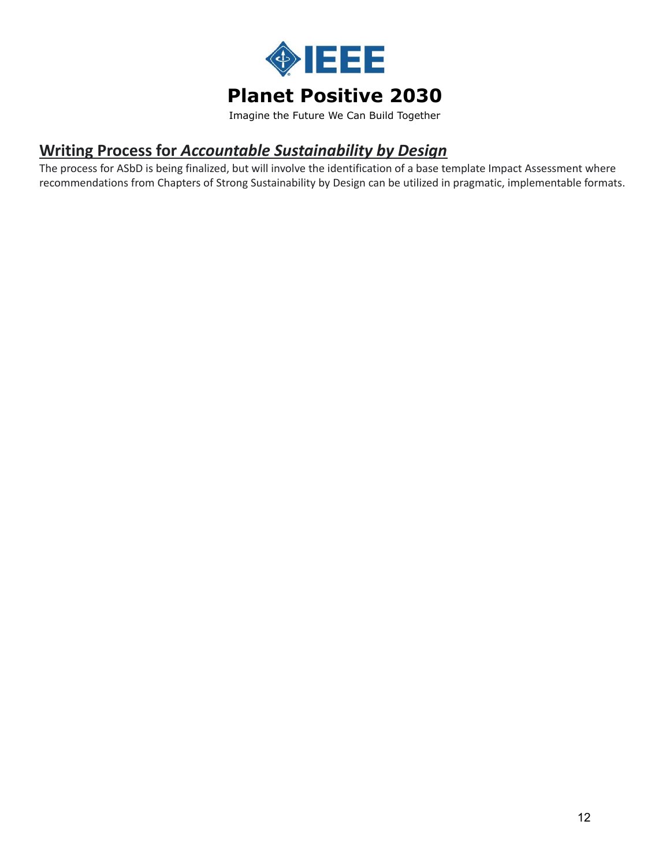

Imagine the Future We Can Build Together

## <span id="page-11-0"></span>**Writing Process for** *Accountable Sustainability by Design*

The process for ASbD is being finalized, but will involve the identification of a base template Impact Assessment where recommendations from Chapters of Strong Sustainability by Design can be utilized in pragmatic, implementable formats.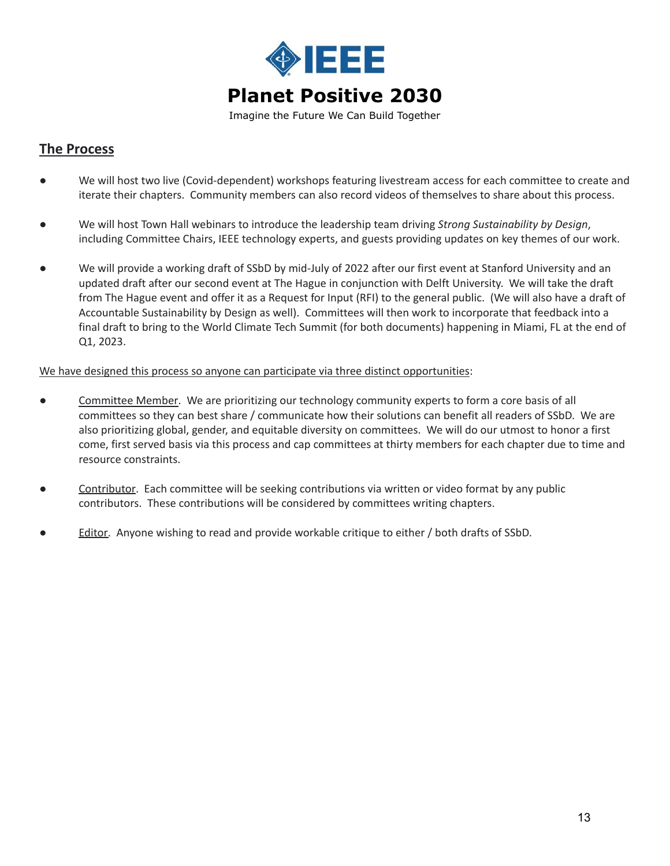

Imagine the Future We Can Build Together

### <span id="page-12-0"></span>**The Process**

- We will host two live (Covid-dependent) workshops featuring livestream access for each committee to create and iterate their chapters. Community members can also record videos of themselves to share about this process.
- We will host Town Hall webinars to introduce the leadership team driving *Strong Sustainability by Design*, including Committee Chairs, IEEE technology experts, and guests providing updates on key themes of our work.
- We will provide a working draft of SSbD by mid-July of 2022 after our first event at Stanford University and an updated draft after our second event at The Hague in conjunction with Delft University. We will take the draft from The Hague event and offer it as a Request for Input (RFI) to the general public. (We will also have a draft of Accountable Sustainability by Design as well). Committees will then work to incorporate that feedback into a final draft to bring to the World Climate Tech Summit (for both documents) happening in Miami, FL at the end of Q1, 2023.

We have designed this process so anyone can participate via three distinct opportunities:

- Committee Member. We are prioritizing our technology community experts to form a core basis of all committees so they can best share / communicate how their solutions can benefit all readers of SSbD. We are also prioritizing global, gender, and equitable diversity on committees. We will do our utmost to honor a first come, first served basis via this process and cap committees at thirty members for each chapter due to time and resource constraints.
- **Contributor.** Each committee will be seeking contributions via written or video format by any public contributors. These contributions will be considered by committees writing chapters.
- Editor. Anyone wishing to read and provide workable critique to either / both drafts of SSbD.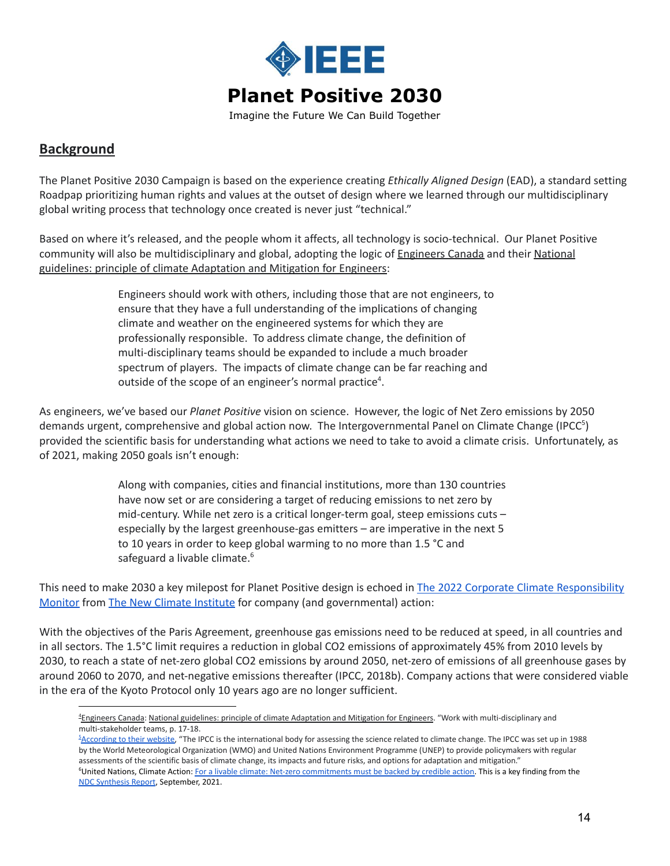

Imagine the Future We Can Build Together

### <span id="page-13-0"></span>**Background**

The Planet Positive 2030 Campaign is based on the experience creating *Ethically Aligned Design* (EAD), a standard setting Roadpap prioritizing human rights and values at the outset of design where we learned through our multidisciplinary global writing process that technology once created is never just "technical."

Based on where it's released, and the people whom it affects, all technology is socio-technical. Our Planet Positive community will also be multidisciplinary and global, adopting the logic of [Engineers](https://engineerscanada.ca/) Canada and their [National](https://climatewest.ca/wp-content/uploads/2020/10/2018-National_Guideline_-_Principles_of_Climate_Adaptation_and_Mitigation_for_Engineers.pdf) guidelines: principle of climate [Adaptation](https://climatewest.ca/wp-content/uploads/2020/10/2018-National_Guideline_-_Principles_of_Climate_Adaptation_and_Mitigation_for_Engineers.pdf) and Mitigation for Engineers:

> Engineers should work with others, including those that are not engineers, to ensure that they have a full understanding of the implications of changing climate and weather on the engineered systems for which they are professionally responsible. To address climate change, the definition of multi-disciplinary teams should be expanded to include a much broader spectrum of players. The impacts of climate change can be far reaching and outside of the scope of an engineer's normal practice<sup>4</sup>.

As engineers, we've based our *Planet Positive* vision on science. However, the logic of Net Zero emissions by 2050 demands urgent, comprehensive and global action now. The Intergovernmental Panel on Climate Change (IPCC<sup>5</sup>) provided the scientific basis for understanding what actions we need to take to avoid a climate crisis. Unfortunately, as of 2021, making 2050 goals isn't enough:

> Along with companies, cities and financial institutions, more than 130 [countries](https://eciu.net/netzerotracker) have now set or are considering a target of reducing emissions to net zero by mid-century. While net zero is a critical longer-term goal, steep emissions cuts – especially by the largest greenhouse-gas emitters – are imperative in the next 5 to 10 years in order to keep global warming to no more than 1.5 °C and safeguard a livable climate.<sup>6</sup>

This need to make 2030 a key milepost for Planet Positive design is echoed in The 2022 Corporate Climate [Responsibility](https://newclimate.org/2022/02/07/corporate-climate-responsibility-monitor-2022/) [Monitor](https://newclimate.org/2022/02/07/corporate-climate-responsibility-monitor-2022/) from The New Climate [Institute](https://newclimate.org/) for company (and governmental) action:

With the objectives of the Paris Agreement, greenhouse gas emissions need to be reduced at speed, in all countries and in all sectors. The 1.5°C limit requires a reduction in global CO2 emissions of approximately 45% from 2010 levels by 2030, to reach a state of net-zero global CO2 emissions by around 2050, net-zero of emissions of all greenhouse gases by around 2060 to 2070, and net-negative emissions thereafter (IPCC, 2018b). Company actions that were considered viable in the era of the Kyoto Protocol only 10 years ago are no longer sufficient.

<sup>&</sup>lt;sup>4</sup>[Engineers](https://engineerscanada.ca/) Canada: National guidelines: principle of climate [Adaptation](https://climatewest.ca/wp-content/uploads/2020/10/2018-National_Guideline_-_Principles_of_Climate_Adaptation_and_Mitigation_for_Engineers.pdf) and Mitigation for Engineers. "Work with multi-disciplinary and multi-stakeholder teams, p. 17-18.

<sup>&</sup>lt;sup>6</sup>United Nations, Climate Action: For a livable climate: Net-zero [commitments](https://www.un.org/en/climatechange/net-zero-coalition) must be backed by credible action. This is a key finding from the NDC [Synthesis](https://unfccc.int/process-and-meetings/the-paris-agreement/nationally-determined-contributions-ndcs/nationally-determined-contributions-ndcs/ndc-synthesis-report#eq-5) Report, September, 2021. <sup>5</sup>[According](https://www.ipcc.ch/site/assets/uploads/2021/07/AR6_FS_What_is_IPCC.pdf) to their website, "The IPCC is the international body for assessing the science related to climate change. The IPCC was set up in 1988 by the World Meteorological Organization (WMO) and United Nations Environment Programme (UNEP) to provide policymakers with regular assessments of the scientific basis of climate change, its impacts and future risks, and options for adaptation and mitigation."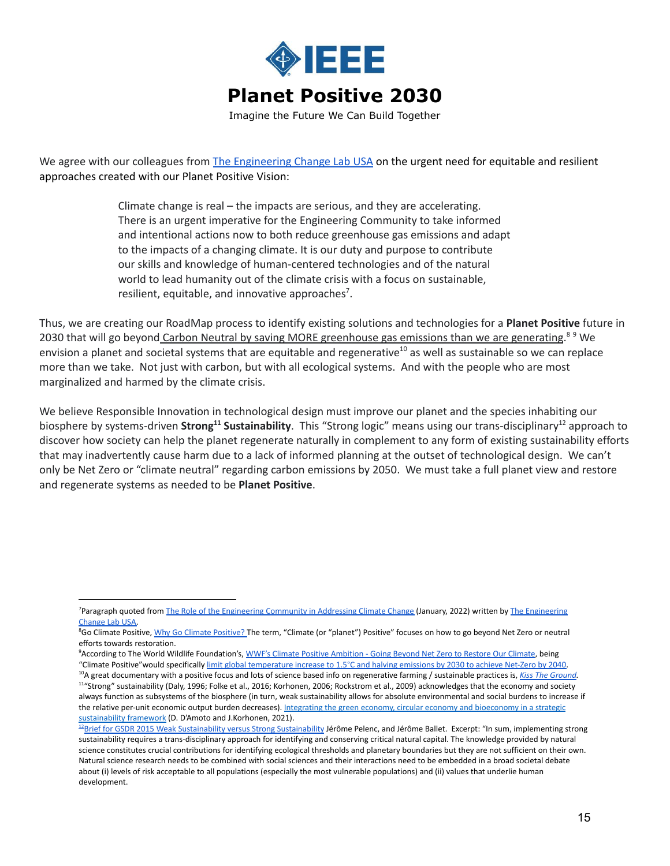

Imagine the Future We Can Build Together

We agree with our colleagues from The [Engineering](https://ecl-usa.org/about/) Change Lab USA on the urgent need for equitable and resilient approaches created with our Planet Positive Vision:

> Climate change is real – the impacts are serious, and they are accelerating. There is an urgent imperative for the Engineering Community to take informed and intentional actions now to both reduce greenhouse gas emissions and adapt to the impacts of a changing climate. It is our duty and purpose to contribute our skills and knowledge of human-centered technologies and of the natural world to lead humanity out of the climate crisis with a focus on sustainable, resilient, equitable, and innovative approaches<sup>7</sup>.

Thus, we are creating our RoadMap process to identify existing solutions and technologies for a **Planet Positive** future in 2030 that will go beyond Carbon Neutral by saving MORE [greenhouse](https://go-positive.co.uk/climate-positive) gas emissions than we are generating.<sup>89</sup> We envision a planet and societal systems that are equitable and regenerative<sup>10</sup> as well as sustainable so we can replace more than we take. Not just with carbon, but with all ecological systems. And with the people who are most marginalized and harmed by the climate crisis.

We believe Responsible Innovation in technological design must improve our planet and the species inhabiting our biosphere by systems-driven **Strong <sup>11</sup> Sustainability**. This "Strong logic" means using our trans-disciplinary <sup>12</sup> approach to discover how society can help the planet regenerate naturally in complement to any form of existing sustainability efforts that may inadvertently cause harm due to a lack of informed planning at the outset of technological design. We can't only be Net Zero or "climate neutral" regarding carbon emissions by 2050. We must take a full planet view and restore and regenerate systems as needed to be **Planet Positive**.

9According to The World Wildlife Foundation's, WWF's Climate Positive [Ambition](https://www.wwf.se/foretag/klimat/climate-positive-ambition/) - Going Beyond Net Zero to Restore Our Climate, being "Climate Positive"would specifically limit global [temperature](https://www.wwf.se/foretag/klimat/climate-positive-ambition/) increase to 1.5°C and halving emissions by 2030 to achieve Net-Zero by 2040.

<sup>&</sup>lt;sup>7</sup>Paragraph quoted from The Role of the [Engineering](https://ecl-usa.org/about/) Community in Addressing Climate Change (January, 2022) written by The Engineering [Change](https://ecl-usa.org/about/) Lab USA.

<sup>&</sup>lt;sup>8</sup>Go Climate Positive, <u>Why Go Climate [Positive?](https://go-positive.co.uk/climate-positive)</u> The term, "Climate (or "planet") Positive" focuses on how to go beyond Net Zero or neutral efforts towards restoration.

<sup>&</sup>lt;sup>11</sup>"Strong" sustainability (Daly, 1996; Folke et al., 2016; Korhonen, 2006; Rockstrom et al., 2009) acknowledges that the economy and society always function as subsystems of the biosphere (in turn, weak sustainability allows for absolute environmental and social burdens to increase if the relative per-unit economic output burden decreases). Integrating the green economy, circular economy and [bioeconomy](https://www.sciencedirect.com/science/article/pii/S0921800921002019?via%3Dihub) in a strategic [sustainability](https://www.sciencedirect.com/science/article/pii/S0921800921002019?via%3Dihub) framework (D. D'Amoto and J.Korhonen, 2021). <sup>10</sup>A great documentary with a positive focus and lots of science based info on regenerative farming / sustainable practices is, *Kiss The [Ground.](https://kissthegroundmovie.com/)*

<sup>&</sup>lt;sup>12</sup>Brief for GSDR 2015 Weak [Sustainability](https://sustainabledevelopment.un.org/content/documents/6569122-Pelenc-Weak%20Sustainability%20versus%20Strong%20Sustainability.pdf) versus Strong Sustainability Jérôme Pelenc, and Jérôme Ballet. Excerpt: "In sum, implementing strong sustainability requires a trans-disciplinary approach for identifying and conserving critical natural capital. The knowledge provided by natural science constitutes crucial contributions for identifying ecological thresholds and planetary boundaries but they are not sufficient on their own. Natural science research needs to be combined with social sciences and their interactions need to be embedded in a broad societal debate about (i) levels of risk acceptable to all populations (especially the most vulnerable populations) and (ii) values that underlie human development.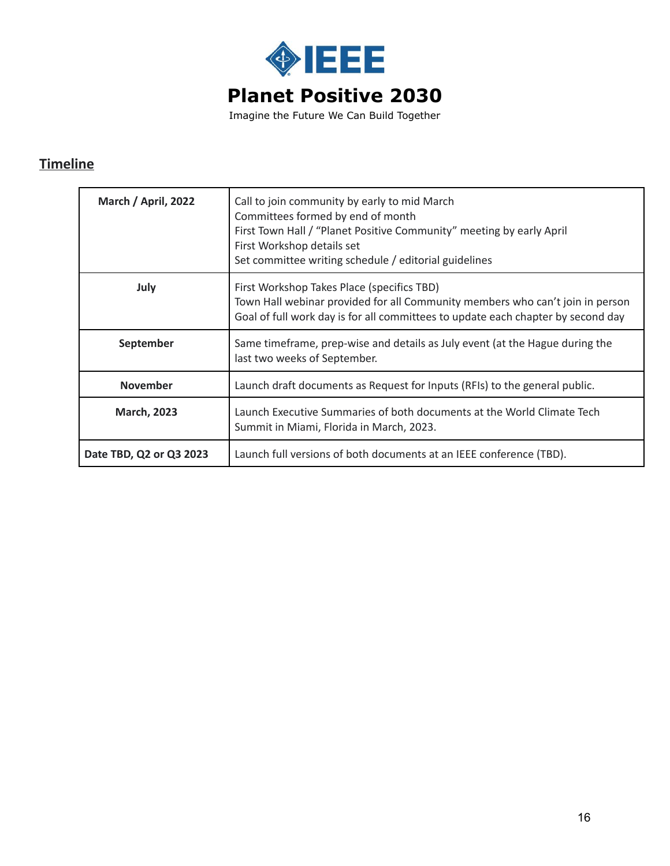

Imagine the Future We Can Build Together

## **Timeline**

<span id="page-15-0"></span>

| March / April, 2022     | Call to join community by early to mid March<br>Committees formed by end of month<br>First Town Hall / "Planet Positive Community" meeting by early April<br>First Workshop details set<br>Set committee writing schedule / editorial guidelines |
|-------------------------|--------------------------------------------------------------------------------------------------------------------------------------------------------------------------------------------------------------------------------------------------|
| July                    | First Workshop Takes Place (specifics TBD)<br>Town Hall webinar provided for all Community members who can't join in person<br>Goal of full work day is for all committees to update each chapter by second day                                  |
| September               | Same timeframe, prep-wise and details as July event (at the Hague during the<br>last two weeks of September.                                                                                                                                     |
| <b>November</b>         | Launch draft documents as Request for Inputs (RFIs) to the general public.                                                                                                                                                                       |
| <b>March, 2023</b>      | Launch Executive Summaries of both documents at the World Climate Tech<br>Summit in Miami, Florida in March, 2023.                                                                                                                               |
| Date TBD, Q2 or Q3 2023 | Launch full versions of both documents at an IEEE conference (TBD).                                                                                                                                                                              |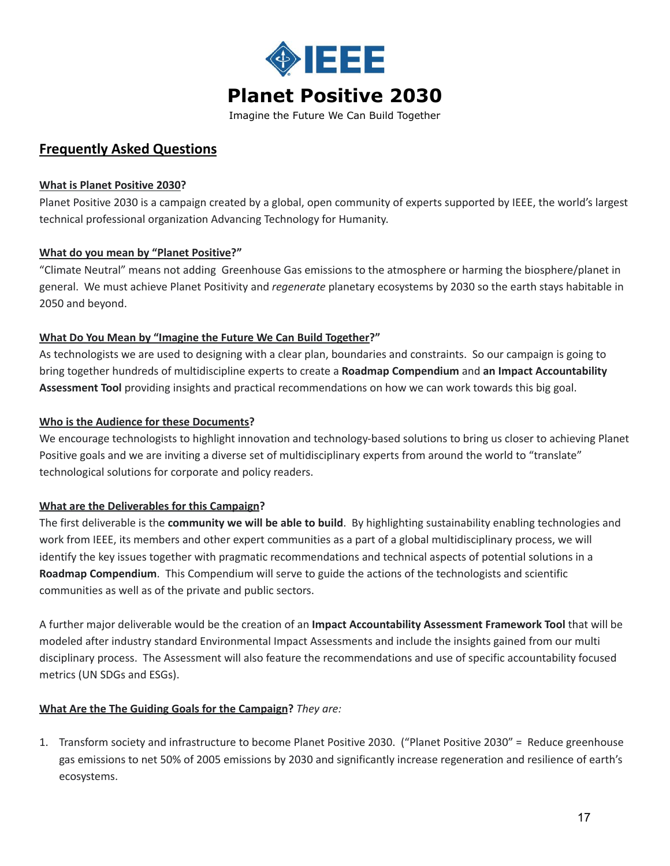

Imagine the Future We Can Build Together

### <span id="page-16-0"></span>**Frequently Asked Questions**

#### **What is Planet Positive 2030?**

Planet Positive 2030 is a campaign created by a global, open community of experts supported by IEEE, the world's largest technical professional organization Advancing Technology for Humanity.

#### **What do you mean by "Planet Positive?"**

"Climate Neutral" means not adding Greenhouse Gas emissions to the atmosphere or harming the biosphere/planet in general. We must achieve Planet Positivity and *regenerate* planetary ecosystems by 2030 so the earth stays habitable in 2050 and beyond.

#### **What Do You Mean by "Imagine the Future We Can Build Together?"**

As technologists we are used to designing with a clear plan, boundaries and constraints. So our campaign is going to bring together hundreds of multidiscipline experts to create a **Roadmap Compendium** and **an Impact Accountability Assessment Tool** providing insights and practical recommendations on how we can work towards this big goal.

#### **Who is the Audience for these Documents?**

We encourage technologists to highlight innovation and technology-based solutions to bring us closer to achieving Planet Positive goals and we are inviting a diverse set of multidisciplinary experts from around the world to "translate" technological solutions for corporate and policy readers.

#### **What are the Deliverables for this Campaign?**

The first deliverable is the **community we will be able to build**. By highlighting sustainability enabling technologies and work from IEEE, its members and other expert communities as a part of a global multidisciplinary process, we will identify the key issues together with pragmatic recommendations and technical aspects of potential solutions in a **Roadmap Compendium**. This Compendium will serve to guide the actions of the technologists and scientific communities as well as of the private and public sectors.

A further major deliverable would be the creation of an **Impact Accountability Assessment Framework Tool** that will be modeled after industry standard Environmental Impact Assessments and include the insights gained from our multi disciplinary process. The Assessment will also feature the recommendations and use of specific accountability focused metrics (UN SDGs and ESGs).

#### **What Are the The Guiding Goals for the Campaign?** *They are:*

1. Transform society and infrastructure to become Planet Positive 2030. ("Planet Positive 2030" = Reduce greenhouse gas emissions to net 50% of 2005 emissions by 2030 and significantly increase regeneration and resilience of earth's ecosystems.